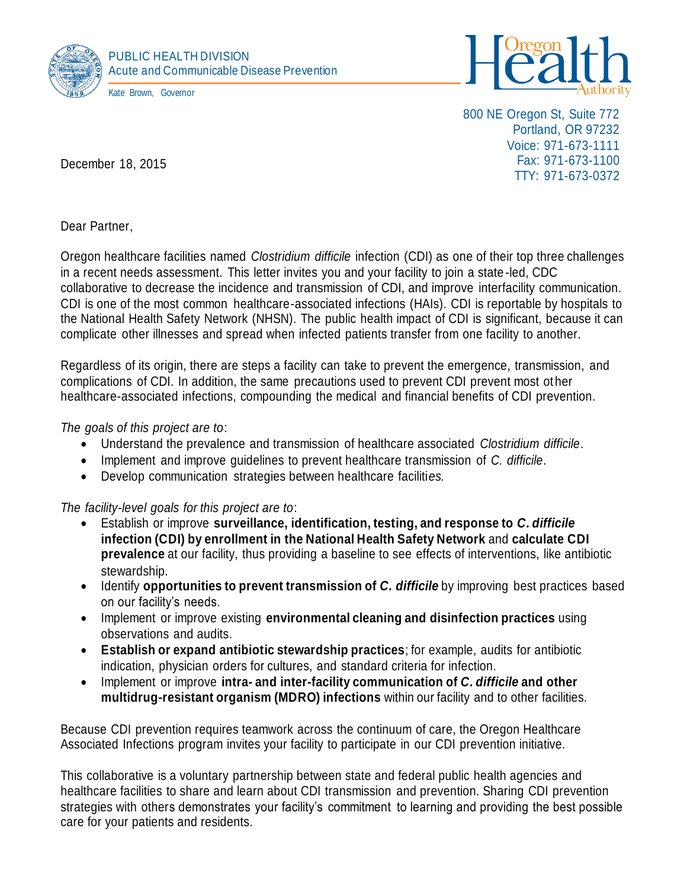



800 NE Oregon St, Suite 772 Portland, OR 97232 Voice: 971-673-1111 Fax: 971-673-1100 TTY: 971-673-0372

December 18, 2015

Dear Partner,

Oregon healthcare facilities named *Clostridium difficile* infection (CDI) as one of their top three challenges in a recent needs assessment. This letter invites you and your facility to join a state -led, CDC collaborative to decrease the incidence and transmission of CDI, and improve interfacility communication. CDI is one of the most common healthcare-associated infections (HAIs). CDI is reportable by hospitals to the National Health Safety Network (NHSN). The public health impact of CDI is significant, because it can complicate other illnesses and spread when infected patients transfer from one facility to another.

Regardless of its origin, there are steps a facility can take to prevent the emergence, transmission, and complications of CDI. In addition, the same precautions used to prevent CDI prevent most ot her healthcare-associated infections, compounding the medical and financial benefits of CDI prevention.

## *The goals of this project are to*:

- Understand the prevalence and transmission of healthcare associated *Clostridium difficile*.
- Implement and improve guidelines to prevent healthcare transmission of *C. difficile*.
- Develop communication strategies between healthcare faciliti*es.*

*The facility-level goals for this project are to*:

- Establish or improve **surveillance, identification, testing, and response to** *C. difficile* **infection (CDI) by enrollment in the National Health Safety Network** and **calculate CDI prevalence** at our facility, thus providing a baseline to see effects of interventions, like antibiotic stewardship.
- **·** Identify **opportunities to prevent transmission of** *C. difficile* by improving best practices based on our facility's needs.
- Implement or improve existing **environmental cleaning and disinfection practices** using observations and audits.
- **Establish or expand antibiotic stewardship practices**; for example, audits for antibiotic indication, physician orders for cultures, and standard criteria for infection.
- Implement or improve **intra- and inter-facility communication of** *C. difficile* **and other multidrug-resistant organism (MDRO) infections** within our facility and to other facilities.

Because CDI prevention requires teamwork across the continuum of care, the Oregon Healthcare Associated Infections program invites your facility to participate in our CDI prevention initiative.

This collaborative is a voluntary partnership between state and federal public health agencies and healthcare facilities to share and learn about CDI transmission and prevention. Sharing CDI prevention strategies with others demonstrates your facility's commitment to learning and providing the best possible care for your patients and residents.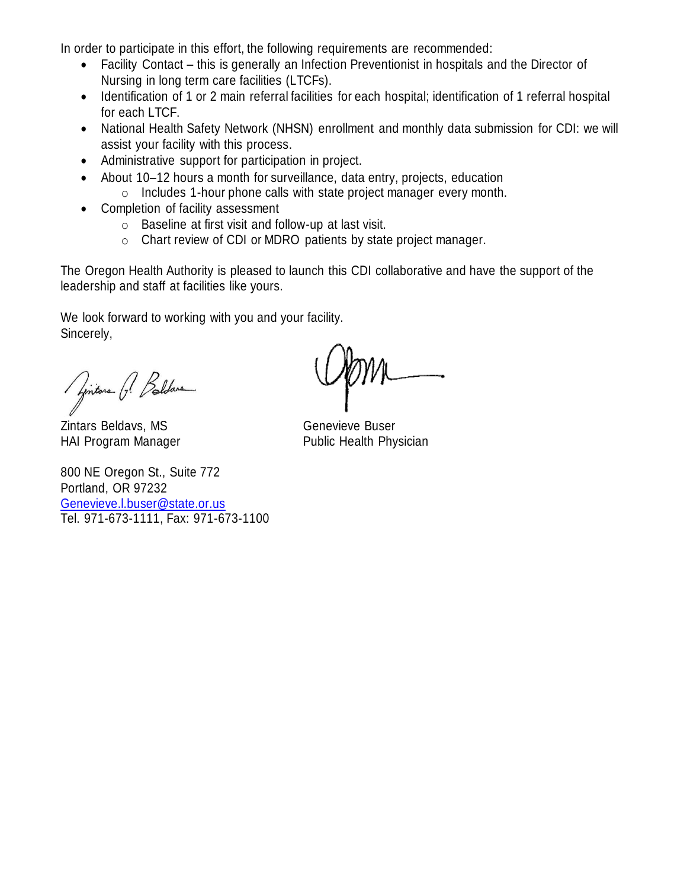In order to participate in this effort, the following requirements are recommended:

- Facility Contact this is generally an Infection Preventionist in hospitals and the Director of Nursing in long term care facilities (LTCFs).
- Identification of 1 or 2 main referral facilities for each hospital; identification of 1 referral hospital for each LTCF.
- National Health Safety Network (NHSN) enrollment and monthly data submission for CDI: we will assist your facility with this process.
- Administrative support for participation in project.
- About 10–12 hours a month for surveillance, data entry, projects, education
	- o Includes 1-hour phone calls with state project manager every month.
- Completion of facility assessment
	- o Baseline at first visit and follow-up at last visit.
	- o Chart review of CDI or MDRO patients by state project manager.

The Oregon Health Authority is pleased to launch this CDI collaborative and have the support of the leadership and staff at facilities like yours.

We look forward to working with you and your facility. Sincerely,

Pintone P. Beldare

Zintars Beldavs, MS Genevieve Buser

800 NE Oregon St., Suite 772 Portland, OR 97232 [Genevieve.l.buser@state.or.us](mailto:Genevieve.l.buser@state.or.us) Tel. 971-673-1111, Fax: 971-673-1100

HAI Program Manager **Public Health Physician**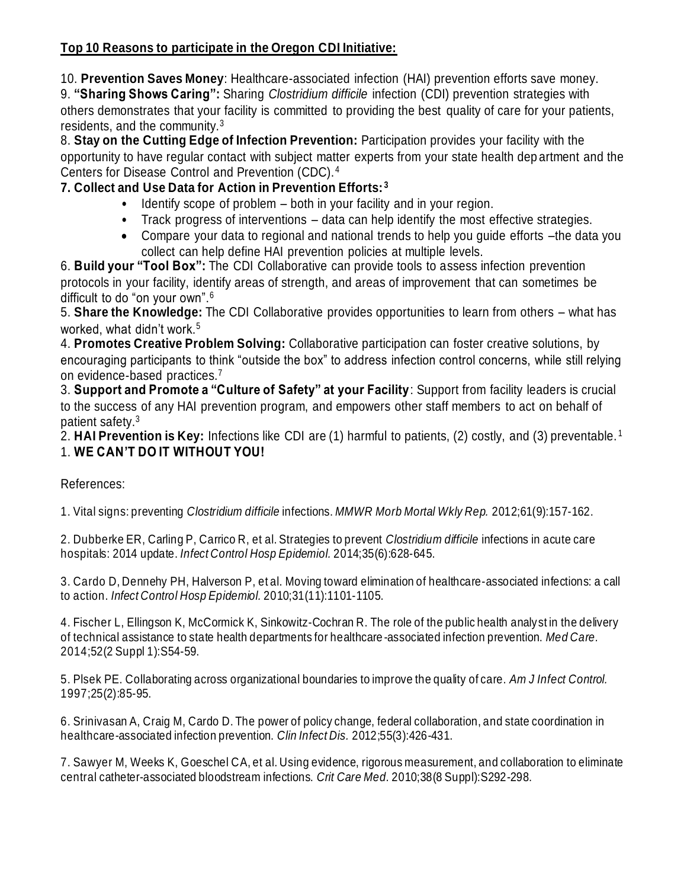## **Top 10 Reasons to participate in the Oregon CDI Initiative:**

10. **Prevention Saves Money**: Healthcare-associated infection (HAI) prevention efforts save money.

9. **"Sharing Shows Caring":** Sharing *Clostridium difficile* infection (CDI) prevention strategies with others demonstrates that your facility is committed to providing the best quality of care for your patients, residents, and the community.<sup>3</sup>

8. **Stay on the Cutting Edge of Infection Prevention:** Participation provides your facility with the opportunity to have regular contact with subject matter experts from your state health dep artment and the Centers for Disease Control and Prevention (CDC).<sup>4</sup>

## **7. Collect and Use Data for Action in Prevention Efforts: <sup>3</sup>**

- Identify scope of problem both in your facility and in your region.
- Track progress of interventions data can help identify the most effective strategies.
- Compare your data to regional and national trends to help you guide efforts –the data you collect can help define HAI prevention policies at multiple levels.

6. **Build your "Tool Box":** The CDI Collaborative can provide tools to assess infection prevention protocols in your facility, identify areas of strength, and areas of improvement that can sometimes be difficult to do "on your own".<sup>6</sup>

5. **Share the Knowledge:** The CDI Collaborative provides opportunities to learn from others – what has worked, what didn't work.<sup>5</sup>

4. **Promotes Creative Problem Solving:** Collaborative participation can foster creative solutions, by encouraging participants to think "outside the box" to address infection control concerns, while still relying on evidence-based practices.<sup>7</sup>

3. **Support and Promote a "Culture of Safety" at your Facility**: Support from facility leaders is crucial to the success of any HAI prevention program, and empowers other staff members to act on behalf of patient safety.<sup>3</sup>

2. **HAI Prevention is Key:** Infections like CDI are (1) harmful to patients, (2) costly, and (3) preventable. <sup>1</sup> 1. **WE CAN'T DO IT WITHOUT YOU!**

References:

1. Vital signs: preventing *Clostridium difficile* infections. *MMWR Morb Mortal Wkly Rep.* 2012;61(9):157-162.

2. Dubberke ER, Carling P, Carrico R, et al. Strategies to prevent *Clostridium difficile* infections in acute care hospitals: 2014 update. *Infect Control Hosp Epidemiol.* 2014;35(6):628-645.

3. Cardo D, Dennehy PH, Halverson P, et al. Moving toward elimination of healthcare-associated infections: a call to action. *Infect Control Hosp Epidemiol.* 2010;31(11):1101-1105.

4. Fischer L, Ellingson K, McCormick K, Sinkowitz-Cochran R. The role of the public health analyst in the delivery of technical assistance to state health departments for healthcare -associated infection prevention. *Med Care.*  2014;52(2 Suppl 1):S54-59.

5. Plsek PE. Collaborating across organizational boundaries to improve the quality of care. *Am J Infect Control.*  1997;25(2):85-95.

6. Srinivasan A, Craig M, Cardo D. The power of policy change, federal collaboration, and state coordination in healthcare-associated infection prevention. *Clin Infect Dis.* 2012;55(3):426-431.

7. Sawyer M, Weeks K, Goeschel CA, et al. Using evidence, rigorous measurement, and collaboration to eliminate central catheter-associated bloodstream infections. *Crit Care Med.* 2010;38(8 Suppl):S292-298.